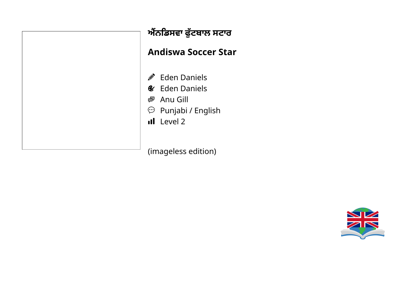

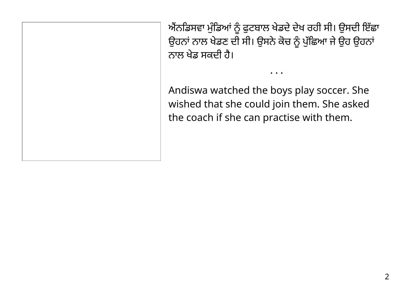ਐਂਨਡਿਸਵਾ ਮੁੰਡਿਆਂ ਨੂੰ ਫੁਟਬਾਲ ਖੇਡਦੇ ਦੇਖ ਰਹੀ ਸੀ। ਉਸਦੀ ਇੱਛਾ ਉਹਨਾਂ ਨਾਲ ਖੇਡਣ ਦੀ ਸੀ। ਉਸਨੇ ਕੇਂਚ ਨੂੰ ਪੁੱਛਿਆ ਜੇ ਉਹ ਉਹਨਾ ਨਾਲ ਖੇਡ ਸਕਦੀ ਹ।ੈ

• • •

Andiswa watched the boys play soccer. She wished that she could join them. She asked the coach if she can practise with them.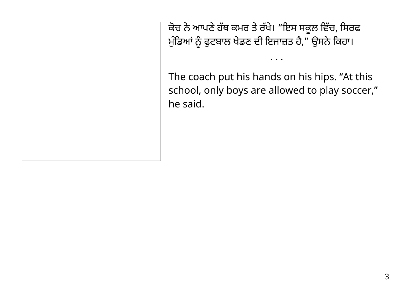ਕੇਚ ਨੇ ਆਪਣੇ ਹੱਥ ਕਮਰ ਤੇ ਰੱਖੇ। "ਇਸ ਸਕੂਲ ਵਿੱਚ, ਸਿਰਫ ਮੁੰਡਿਆਂ ਨੂੰ ਫੁਟਬਾਲ ਖੇਡਣ ਦੀ ਇਜਾਜ਼ਤ ਹੈ," ਉਸਨੇਂ ਕਿਹਾ।

The coach put his hands on his hips. "At this school, only boys are allowed to play soccer, " he said.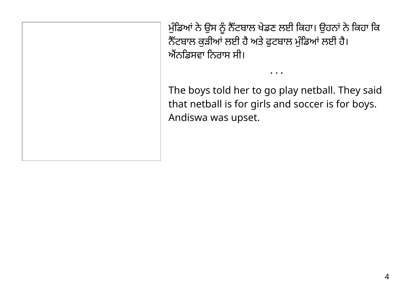ਮੁੰਡਿਆਂ ਨੇ ਉਸ ਨੂੰ ਨੈੱਟਬਾਲ ਖੇਡਣ ਲਈ ਕਿਹਾ। ਉਹਨਾਂ ਨੇ ਕਿਹਾ ਕਿ ਨੈੱਟਬਾਲ ਕੁੜੀਆਂ ਲਈ ਹੈ ਅਤੇ ਫੁਟਬਾਲ ਮੁੰਡਿਆਂ ਲਈ ਹੈ। ਐਂਨਡਿਸਵਾ ਨਿਰਾਸ ਸੀ।

The boys told her to go play netball. They said that netball is for girls and soccer is for boys. Andiswa was upset.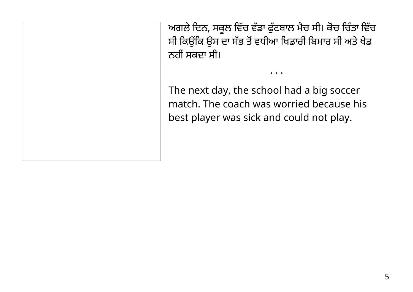ਅਗਲੇ ਦਿਨ, ਸਕੂਲ ਵਿੱਚ ਵੱਡਾ ਫੁੱਟਬਾਲ ਮੈਚ ਸੀ। ਕੇਚ ਚਿੰਤਾ ਵਿੱਚ ਸੀ ਕਿਉਂਕਿ ਉਸ ਦਾ ਸੱਭ ਤੋਂ ਵਧੀਆ ਖਿਡਾਰੀ ਬਿਮਾਰ ਸੀ ਅਤੇ ਖੇਡ ਨਹੀਂ ਸਕਦਾ ਸੀ।

• • •

The next day, the school had a big soccer match. The coach was worried because his best player was sick and could not play.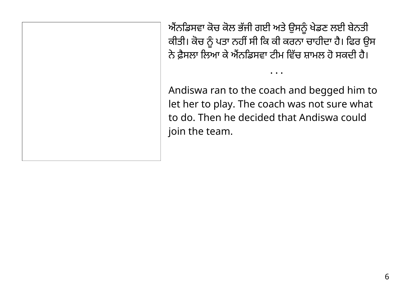ਐਨਡਿਸਵਾ ਕੇਚ ਕੇਲ ਭੱਜੀ ਗਈ ਅਤੇ ਉਸਨੂੰ ਖੇਡਣ ਲਈ ਬੇਨਤੀ ਕੀਤੀ। ਕੇਚ ਨੂੰ ਪਤਾ ਨਹੀਂ ਸੀ ਕਿ ਕੀ ਕਰਨਾ ਚਾਹੀਦਾ ਹੈ। ਫਿਰ ਉਸ ਨੇ ਫ਼ੈਸਲਾ ਲਿਆ ਕੇ ਐਂਨਡਿਸਵਾ ਟੀਮ ਵਿੱਚ ਸ਼ਾਮਲ ਹੋ ਸਕਦੀ ਹੈ।

Andiswa ran to the coach and begged him to let her to play. The coach was not sure what to do. Then he decided that Andiswa could join the team.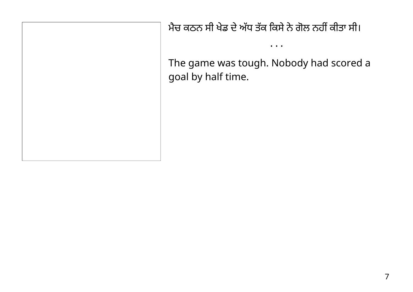ਮੈਚ ਕਠਨ ਸੀ ਖੇਡ ਦੇ ਅੱਧ ਤੱਕ ਕਿਸੇ ਨੇ ਗੋਲ ਨਹੀਂ ਕੀਤਾ ਸੀ।

The game was tough. Nobody had scored a goal by half time.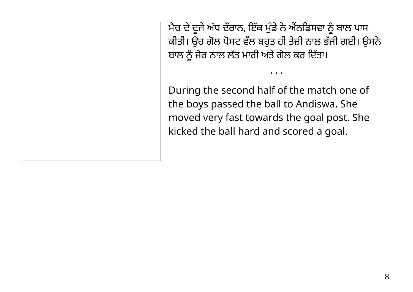ਮੈਚ ਦੇ ਦੂਜੇ ਅੱਧ ਦੌਰਾਨ, ਇੱਕ ਮੁੰਡੇ ਨੇ ਐਨਡਿਸਵਾ ਨੂੰ ਬਾਲ ਪਾਸ ਕੀਤੀ। ਉਹ ਗੋਲ ਪੋਸਟ ਵੱਲ ਬਹੁਤ ਹੀ ਤੇਜ਼ੀ ਨਾਲ ਭੱਜੀ ਗਈ। ਉਸਨੇ ਬਾਲ ਨੂੰ ਜੋਰ ਨਾਲ ਲੱਤ ਮਾਰੀ ਅਤੇ ਗੋਲ ਕਰ ਦਿੱਤਾ।

• • •

During the second half of the match one of the boys passed the ball to Andiswa. She moved very fast towards the goal post. She kicked the ball hard and scored a goal.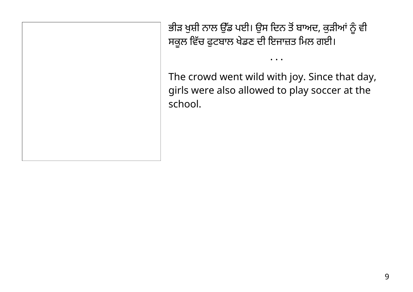ਭੀੜ ਖੁਸ਼ੀ ਨਾਲ ਉੱਡ ਪਈ। ਉਸ ਦਿਨ ਤੋਂ ਬਾਅਦ, ਕੁੜੀਆਂ ਨੂੰ ਵੀ ਸਕੂਲ ਵਿੱਚ ਫੁਟਬਾਲ ਖੇਡਣ ਦੀ ਇਜਾਜ਼ਤ ਮਿਲ ਗਈ।

The crowd went wild with joy. Since that day, girls were also allowed to play soccer at the school.